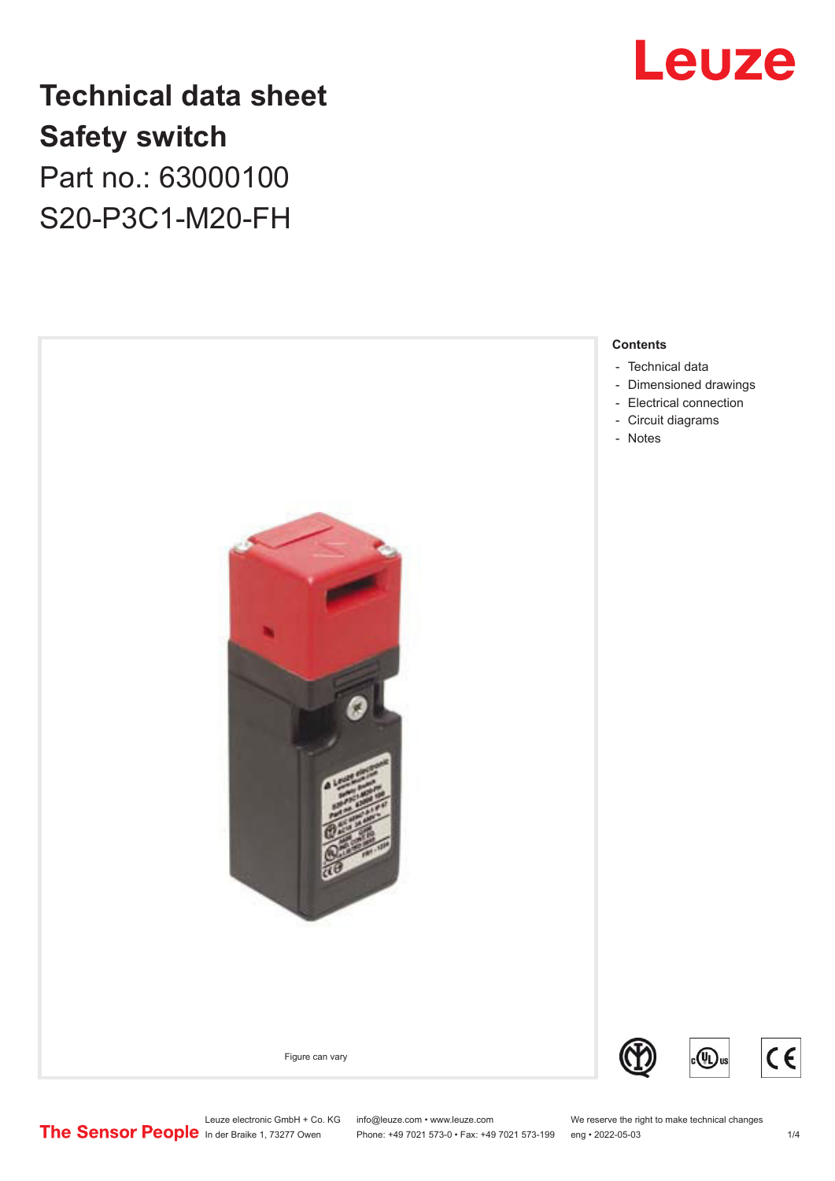# Leuze

# **Technical data sheet Safety switch** Part no.: 63000100

S20-P3C1-M20-FH



Leuze electronic GmbH + Co. KG info@leuze.com • www.leuze.com We reserve the right to make technical changes<br>
The Sensor People in der Braike 1, 73277 Owen Phone: +49 7021 573-0 • Fax: +49 7021 573-199 eng • 2022-05-03

Phone: +49 7021 573-0 • Fax: +49 7021 573-199 eng • 2022-05-03 1/4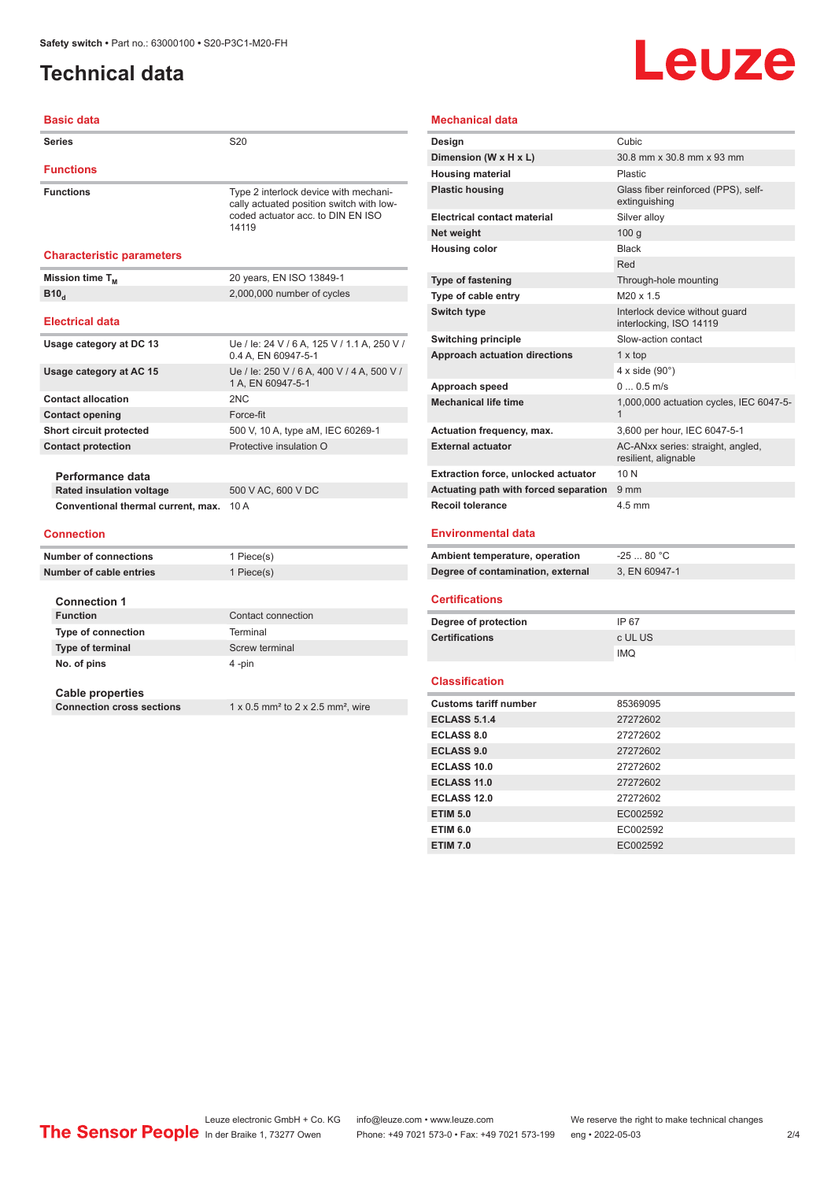# <span id="page-1-0"></span>**Technical data**

**Basic data**

# **Leuze**

#### **Mechanical data**

| <b>Series</b>                      | S <sub>20</sub>                                                                                                                 |
|------------------------------------|---------------------------------------------------------------------------------------------------------------------------------|
| <b>Functions</b>                   |                                                                                                                                 |
| <b>Functions</b>                   | Type 2 interlock device with mechani-<br>cally actuated position switch with low-<br>coded actuator acc. to DIN EN ISO<br>14119 |
| <b>Characteristic parameters</b>   |                                                                                                                                 |
| Mission time T <sub>M</sub>        | 20 years, EN ISO 13849-1                                                                                                        |
| B10 <sub>a</sub>                   | 2,000,000 number of cycles                                                                                                      |
| <b>Electrical data</b>             |                                                                                                                                 |
| Usage category at DC 13            | Ue / le: 24 V / 6 A, 125 V / 1.1 A, 250 V /<br>0.4 A. EN 60947-5-1                                                              |
| Usage category at AC 15            | Ue / le: 250 V / 6 A, 400 V / 4 A, 500 V /<br>1 A. EN 60947-5-1                                                                 |
| <b>Contact allocation</b>          | 2NC                                                                                                                             |
| <b>Contact opening</b>             | Force-fit                                                                                                                       |
| Short circuit protected            | 500 V, 10 A, type aM, IEC 60269-1                                                                                               |
| <b>Contact protection</b>          | Protective insulation O                                                                                                         |
| Performance data                   |                                                                                                                                 |
| <b>Rated insulation voltage</b>    | 500 V AC, 600 V DC                                                                                                              |
| Conventional thermal current, max. | 10 A                                                                                                                            |
| <b>Connection</b>                  |                                                                                                                                 |
| <b>Number of connections</b>       | 1 Piece(s)                                                                                                                      |
| Number of cable entries            | 1 Piece(s)                                                                                                                      |
| <b>Connection 1</b>                |                                                                                                                                 |
| <b>Function</b>                    | Contact connection                                                                                                              |
| <b>Type of connection</b>          | Terminal                                                                                                                        |
| <b>Type of terminal</b>            | Screw terminal                                                                                                                  |

### **Cable properties**

**Connection cross sections** 1 x 0.5 mm<sup>2</sup> to 2 x 2.5 mm<sup>2</sup>, wire

**No. of pins** 4 -pin

| Design                                     | Cubic                                                     |
|--------------------------------------------|-----------------------------------------------------------|
| Dimension (W x H x L)                      | 30.8 mm x 30.8 mm x 93 mm                                 |
| <b>Housing material</b>                    | Plastic                                                   |
| <b>Plastic housing</b>                     | Glass fiber reinforced (PPS), self-<br>extinguishing      |
| <b>Electrical contact material</b>         | Silver alloy                                              |
| Net weight                                 | 100 <sub>a</sub>                                          |
| <b>Housing color</b>                       | <b>Black</b>                                              |
|                                            | Red                                                       |
| Type of fastening                          | Through-hole mounting                                     |
| Type of cable entry                        | $M20 \times 15$                                           |
| Switch type                                | Interlock device without quard<br>interlocking, ISO 14119 |
| Switching principle                        | Slow-action contact                                       |
| <b>Approach actuation directions</b>       | $1 \times top$                                            |
|                                            | 4 x side $(90^\circ)$                                     |
| Approach speed                             | $00.5$ m/s                                                |
| <b>Mechanical life time</b>                | 1,000,000 actuation cycles, IEC 6047-5-<br>1              |
| Actuation frequency, max.                  | 3,600 per hour, IEC 6047-5-1                              |
| <b>External actuator</b>                   | AC-ANxx series: straight, angled,<br>resilient, alignable |
| <b>Extraction force, unlocked actuator</b> | 10N                                                       |
| Actuating path with forced separation      | $9 \text{ mm}$                                            |
| <b>Recoil tolerance</b>                    | 4.5 mm                                                    |
|                                            |                                                           |
| <b>Environmental data</b>                  |                                                           |

| Ambient temperature, operation    | -25  80 °C    |
|-----------------------------------|---------------|
| Degree of contamination, external | 3. EN 60947-1 |

#### **Certifications**

| Degree of protection  | IP 67      |
|-----------------------|------------|
| <b>Certifications</b> | c UL US    |
|                       | <b>IMQ</b> |

#### **Classification**

| <b>Customs tariff number</b> | 85369095 |
|------------------------------|----------|
| <b>ECLASS 5.1.4</b>          | 27272602 |
| <b>ECLASS 8.0</b>            | 27272602 |
| <b>ECLASS 9.0</b>            | 27272602 |
| ECLASS 10.0                  | 27272602 |
| <b>ECLASS 11.0</b>           | 27272602 |
| ECLASS 12.0                  | 27272602 |
| <b>ETIM 5.0</b>              | EC002592 |
| <b>ETIM 6.0</b>              | EC002592 |
| <b>ETIM 7.0</b>              | EC002592 |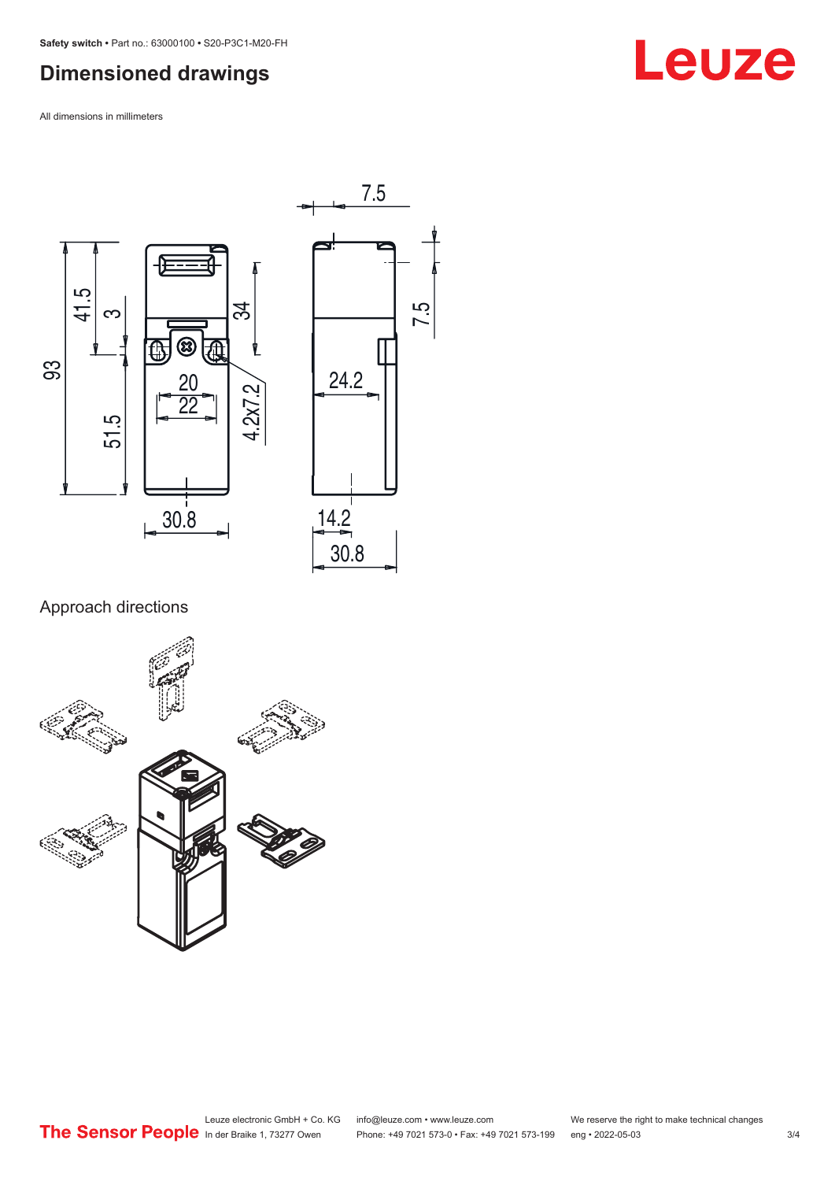# <span id="page-2-0"></span>**Dimensioned drawings**

All dimensions in millimeters





### Approach directions



# **Leuze**